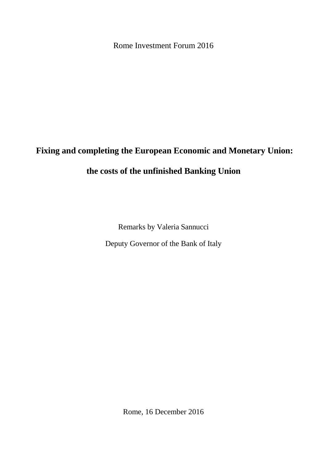Rome Investment Forum 2016

## **Fixing and completing the European Economic and Monetary Union:**

## **the costs of the unfinished Banking Union**

Remarks by Valeria Sannucci Deputy Governor of the Bank of Italy

Rome, 16 December 2016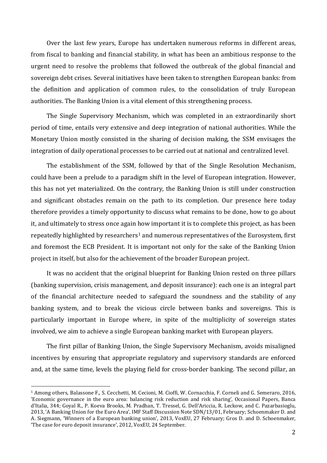Over the last few years, Europe has undertaken numerous reforms in different areas, from fiscal to banking and financial stability, in what has been an ambitious response to the urgent need to resolve the problems that followed the outbreak of the global financial and sovereign debt crises. Several initiatives have been taken to strengthen European banks: from the definition and application of common rules, to the consolidation of truly European authorities. The Banking Union is a vital element of this strengthening process.

The Single Supervisory Mechanism, which was completed in an extraordinarily short period of time, entails very extensive and deep integration of national authorities. While the Monetary Union mostly consisted in the sharing of decision making, the SSM envisages the integration of daily operational processes to be carried out at national and centralized level.

The establishment of the SSM, followed by that of the Single Resolution Mechanism, could have been a prelude to a paradigm shift in the level of European integration. However, this has not yet materialized. On the contrary, the Banking Union is still under construction and significant obstacles remain on the path to its completion. Our presence here today therefore provides a timely opportunity to discuss what remains to be done, how to go about it, and ultimately to stress once again how important it is to complete this project, as has been repeatedly highlighted by researchers<sup>[1](#page-1-0)</sup> and numerous representatives of the Eurosystem, first and foremost the ECB President. It is important not only for the sake of the Banking Union project in itself, but also for the achievement of the broader European project.

It was no accident that the original blueprint for Banking Union rested on three pillars (banking supervision, crisis management, and deposit insurance): each one is an integral part of the financial architecture needed to safeguard the soundness and the stability of any banking system, and to break the vicious circle between banks and sovereigns. This is particularly important in Europe where, in spite of the multiplicity of sovereign states involved, we aim to achieve a single European banking market with European players.

The first pillar of Banking Union, the Single Supervisory Mechanism, avoids misaligned incentives by ensuring that appropriate regulatory and supervisory standards are enforced and, at the same time, levels the playing field for cross-border banking. The second pillar, an

<span id="page-1-0"></span><sup>1</sup> Among others, Balassone F., S. Cecchetti, M. Cecioni, M. Cioffi, W. Cornacchia, F. Corneli and G. Semeraro, 2016, 'Economic governance in the euro area: balancing risk reduction and risk sharing', Occasional Papers, Banca d'Italia, 344; Goyal R., P. Koeva Brooks, M. Pradhan, T. Tressel, G. Dell'Ariccia, R. Leckow, and C. Pazarbasioglu, 2013, 'A Banking Union for the Euro Area', IMF Staff Discussion Note SDN/13/01, February; Schoenmaker D. and A. Siegmann, 'Winners of a European banking union', 2013, VoxEU, 27 February; Gros D. and D. Schoenmaker, 'The case for euro deposit insurance', 2012, VoxEU, 24 September. j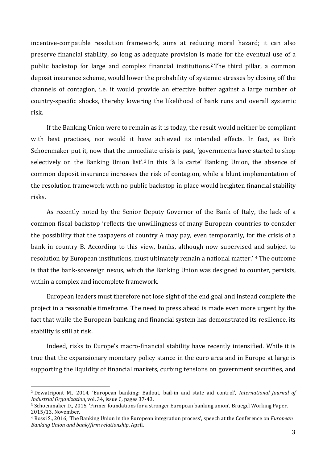incentive-compatible resolution framework, aims at reducing moral hazard; it can also preserve financial stability, so long as adequate provision is [ma](#page-2-0)de for the eventual use of a public backstop for large and complex financial institutions. <sup>2</sup> The third pillar, a common deposit insurance scheme, would lower the probability of systemic stresses by closing off the channels of contagion, i.e. it would provide an effective buffer against a large number of country-specific shocks, thereby lowering the likelihood of bank runs and overall systemic risk.

If the Banking Union were to remain as it is today, the result would neither be compliant with best practices, nor would it have achieved its intended effects. In fact, as Dirk Schoenmaker put it, now that the imme[d](#page-2-1)iate crisis is past, 'governments have started to shop selectively on the Banking Union list'.<sup>3</sup> In this 'à la carte' Banking Union, the absence of common deposit insurance increases the risk of contagion, while a blunt implementation of the resolution framework with no public backstop in place would heighten financial stability risks.

As recently noted by the Senior Deputy Governor of the Bank of Italy, the lack of a common fiscal backstop 'reflects the unwillingness of many European countries to consider the possibility that the taxpayers of country A may pay, even temporarily, for the crisis of a bank in country B. According to this view, banks, although now supervised [an](#page-2-2)d subject to resolution by European institutions, must ultimately remain a national matter.' <sup>4</sup> The outcome is that the bank-sovereign nexus, which the Banking Union was designed to counter, persists, within a complex and incomplete framework.

European leaders must therefore not lose sight of the end goal and instead complete the project in a reasonable timeframe. The need to press ahead is made even more urgent by the fact that while the European banking and financial system has demonstrated its resilience, its stability is still at risk.

Indeed, risks to Europe's macro-financial stability have recently intensified. While it is true that the expansionary monetary policy stance in the euro area and in Europe at large is supporting the liquidity of financial markets, curbing tensions on government securities, and

<span id="page-2-0"></span><sup>2</sup> Dewatripont M., 2014, 'European banking: Bailout, bail-in and state aid control', *International Journal of Industrial Organization*, vol. 34, issue C, pages 37-43. l

<span id="page-2-1"></span><sup>3</sup> Schoenmaker D., 2015, 'Firmer foundations for a stronger European banking union', Bruegel Working Paper, 2015/13, November.

<span id="page-2-2"></span><sup>4</sup> Rossi S., 2016, 'The Banking Union in the European integration process', speech at the Conference on *European Banking Union and bank/firm relationship*, April.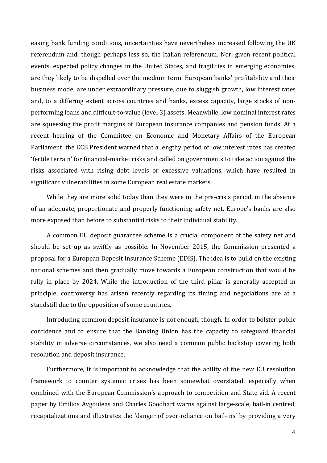easing bank funding conditions, uncertainties have nevertheless increased following the UK referendum and, though perhaps less so, the Italian referendum. Nor, given recent political events, expected policy changes in the United States, and fragilities in emerging economies, are they likely to be dispelled over the medium term. European banks' profitability and their business model are under extraordinary pressure, due to sluggish growth, low interest rates and, to a differing extent across countries and banks, excess capacity, large stocks of nonperforming loans and difficult-to-value (level 3) assets. Meanwhile, low nominal interest rates are squeezing the profit margins of European insurance companies and pension funds. At a recent hearing of the Committee on Economic and Monetary Affairs of the European Parliament, the ECB President warned that a lengthy period of low interest rates has created 'fertile terrain' for financial-market risks and called on governments to take action against the risks associated with rising debt levels or excessive valuations, which have resulted in significant vulnerabilities in some European real estate markets.

While they are more solid today than they were in the pre-crisis period, in the absence of an adequate, proportionate and properly functioning safety net, Europe's banks are also more exposed than before to substantial risks to their individual stability.

A common EU deposit guarantee scheme is a crucial component of the safety net and should be set up as swiftly as possible. In November 2015, the Commission presented a proposal for a European Deposit Insurance Scheme (EDIS). The idea is to build on the existing national schemes and then gradually move towards a European construction that would be fully in place by 2024. While the introduction of the third pillar is generally accepted in principle, controversy has arisen recently regarding its timing and negotiations are at a standstill due to the opposition of some countries.

Introducing common deposit insurance is not enough, though. In order to bolster public confidence and to ensure that the Banking Union has the capacity to safeguard financial stability in adverse circumstances, we also need a common public backstop covering both resolution and deposit insurance.

Furthermore, it is important to acknowledge that the ability of the new EU resolution framework to counter systemic crises has been somewhat overstated, especially when combined with the European Commission's approach to competition and State aid. A recent paper by Emilios Avgouleas and Charles Goodhart warns against large-scale, bail-in centred, recapitalizations and illustrates the 'danger of over-reliance on bail-ins' by providing a very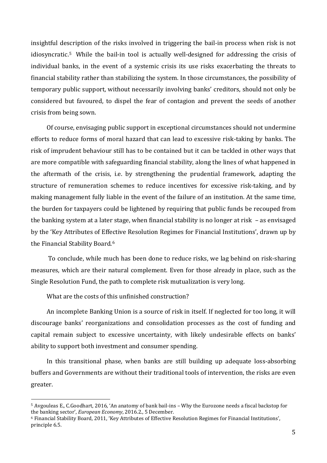insightful description of the risks involved in triggering the bail-in process when risk is not idiosyncratic.[5](#page-4-0) While the bail-in tool is actually well-designed for addressing the crisis of individual banks, in the event of a systemic crisis its use risks exacerbating the threats to financial stability rather than stabilizing the system. In those circumstances, the possibility of temporary public support, without necessarily involving banks' creditors, should not only be considered but favoured, to dispel the fear of contagion and prevent the seeds of another crisis from being sown.

Of course, envisaging public support in exceptional circumstances should not undermine efforts to reduce forms of moral hazard that can lead to excessive risk-taking by banks. The risk of imprudent behaviour still has to be contained but it can be tackled in other ways that are more compatible with safeguarding financial stability, along the lines of what happened in the aftermath of the crisis, i.e. by strengthening the prudential framework, adapting the structure of remuneration schemes to reduce incentives for excessive risk-taking, and by making management fully liable in the event of the failure of an institution. At the same time, the burden for taxpayers could be lightened by requiring that public funds be recouped from the banking system at a later stage, when financial stability is no longer at risk – as envisaged by the 'Key Attributes of Effective Resolution Regimes for Financial Institutions', drawn up by the Financial Stability Board.[6](#page-4-1)

To conclude, while much has been done to reduce risks, we lag behind on risk-sharing measures, which are their natural complement. Even for those already in place, such as the Single Resolution Fund, the path to complete risk mutualization is very long.

What are the costs of this unfinished construction?

An incomplete Banking Union is a source of risk in itself. If neglected for too long, it will discourage banks' reorganizations and consolidation processes as the cost of funding and capital remain subject to excessive uncertainty, with likely undesirable effects on banks' ability to support both investment and consumer spending.

In this transitional phase, when banks are still building up adequate loss-absorbing buffers and Governments are without their traditional tools of intervention, the risks are even greater.

<span id="page-4-0"></span><sup>5</sup> Avgouleas E., C.Goodhart, 2016, 'An anatomy of bank bail-ins – Why the Eurozone needs a fiscal backstop for the banking sector', *European Economy*, 2016.2., 5 December. I

<span id="page-4-1"></span><sup>6</sup> Financial Stability Board, 2011, 'Key Attributes of Effective Resolution Regimes for Financial Institutions', principle 6.5.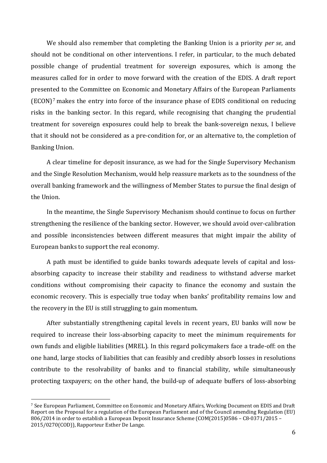We should also remember that completing the Banking Union is a priority *per se*, and should not be conditional on other interventions. I refer, in particular, to the much debated possible change of prudential treatment for sovereign exposures, which is among the measures called for in order to move forward with the creation of the EDIS. A draft report presented to the Committee on Economic and Monetary Affairs of the European Parliaments (ECON)[7](#page-5-0) makes the entry into force of the insurance phase of EDIS conditional on reducing risks in the banking sector. In this regard, while recognising that changing the prudential treatment for sovereign exposures could help to break the bank-sovereign nexus, I believe that it should not be considered as a pre-condition for, or an alternative to, the completion of Banking Union.

A clear timeline for deposit insurance, as we had for the Single Supervisory Mechanism and the Single Resolution Mechanism, would help reassure markets as to the soundness of the overall banking framework and the willingness of Member States to pursue the final design of the Union.

In the meantime, the Single Supervisory Mechanism should continue to focus on further strengthening the resilience of the banking sector. However, we should avoid over-calibration and possible inconsistencies between different measures that might impair the ability of European banks to support the real economy.

A path must be identified to guide banks towards adequate levels of capital and lossabsorbing capacity to increase their stability and readiness to withstand adverse market conditions without compromising their capacity to finance the economy and sustain the economic recovery. This is especially true today when banks' profitability remains low and the recovery in the EU is still struggling to gain momentum.

After substantially strengthening capital levels in recent years, EU banks will now be required to increase their loss-absorbing capacity to meet the minimum requirements for own funds and eligible liabilities (MREL). In this regard policymakers face a trade-off: on the one hand, large stocks of liabilities that can feasibly and credibly absorb losses in resolutions contribute to the resolvability of banks and to financial stability, while simultaneously protecting taxpayers; on the other hand, the build-up of adequate buffers of loss-absorbing

<span id="page-5-0"></span><sup>7</sup> See European Parliament, Committee on Economic and Monetary Affairs, Working Document on EDIS and Draft Report on the Proposal for a regulation of the European Parliament and of the Council amending Regulation (EU) 806/2014 in order to establish a European Deposit Insurance Scheme (COM(2015)0586 – C8-0371/2015 – 2015/0270(COD)), Rapporteur Esther De Lange. i<br>I